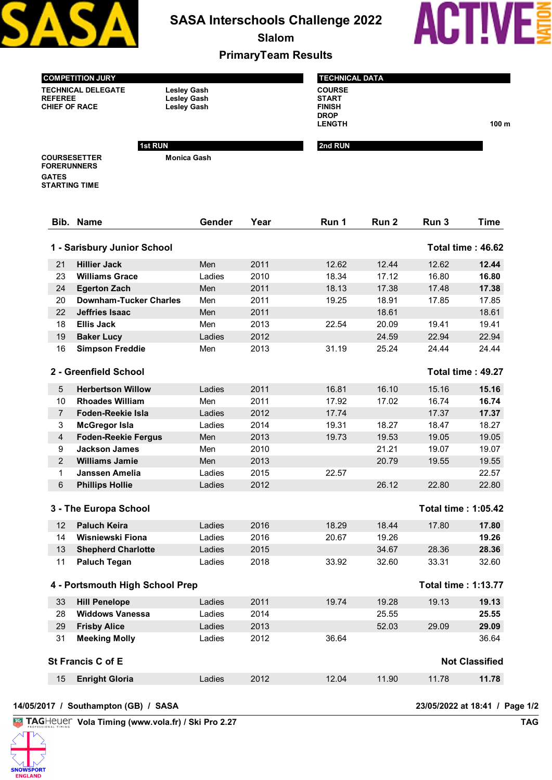

**SASA Interschools Challenge 2022**

**Slalom**



**LENGTH 100 m**

**PrimaryTeam Results**

| <b>COMPETITION JURY</b> |  |
|-------------------------|--|
|                         |  |

**TECHNICAL DELEGATE Lesley Gash CHIEF OF RACE** 

Lesley Gash<br>Lesley Gash

**Monica Gash**

**1st RUN** 

| <b>TECHNICAL DATA</b>                          |  |
|------------------------------------------------|--|
| <b>COURSE</b><br><b>START</b><br><b>FINISH</b> |  |
| <b>DROP</b><br><b>LENGTH</b>                   |  |
| 2nd RUN                                        |  |

**COURSESETTER FORERUNNERS GATES STARTING TIME**

|                | Bib. Name                       | Gender | Year | Run 1 | Run 2 | Run 3                      | <b>Time</b>              |
|----------------|---------------------------------|--------|------|-------|-------|----------------------------|--------------------------|
|                | 1 - Sarisbury Junior School     |        |      |       |       |                            | Total time: 46.62        |
| 21             | <b>Hillier Jack</b>             | Men    | 2011 | 12.62 | 12.44 | 12.62                      | 12.44                    |
| 23             | <b>Williams Grace</b>           | Ladies | 2010 | 18.34 | 17.12 | 16.80                      | 16.80                    |
| 24             | <b>Egerton Zach</b>             | Men    | 2011 | 18.13 | 17.38 | 17.48                      | 17.38                    |
| 20             | <b>Downham-Tucker Charles</b>   | Men    | 2011 | 19.25 | 18.91 | 17.85                      | 17.85                    |
| 22             | <b>Jeffries Isaac</b>           | Men    | 2011 |       | 18.61 |                            | 18.61                    |
| 18             | <b>Ellis Jack</b>               | Men    | 2013 | 22.54 | 20.09 | 19.41                      | 19.41                    |
| 19             | <b>Baker Lucy</b>               | Ladies | 2012 |       | 24.59 | 22.94                      | 22.94                    |
| 16             | <b>Simpson Freddie</b>          | Men    | 2013 | 31.19 | 25.24 | 24.44                      | 24.44                    |
|                | 2 - Greenfield School           |        |      |       |       |                            | <b>Total time: 49.27</b> |
| 5              | <b>Herbertson Willow</b>        | Ladies | 2011 | 16.81 | 16.10 | 15.16                      | 15.16                    |
| 10             | <b>Rhoades William</b>          | Men    | 2011 | 17.92 | 17.02 | 16.74                      | 16.74                    |
| $\overline{7}$ | Foden-Reekie Isla               | Ladies | 2012 | 17.74 |       | 17.37                      | 17.37                    |
| 3              | <b>McGregor Isla</b>            | Ladies | 2014 | 19.31 | 18.27 | 18.47                      | 18.27                    |
| $\overline{4}$ | <b>Foden-Reekie Fergus</b>      | Men    | 2013 | 19.73 | 19.53 | 19.05                      | 19.05                    |
| 9              | <b>Jackson James</b>            | Men    | 2010 |       | 21.21 | 19.07                      | 19.07                    |
| $\overline{2}$ | <b>Williams Jamie</b>           | Men    | 2013 |       | 20.79 | 19.55                      | 19.55                    |
| 1              | Janssen Amelia                  | Ladies | 2015 | 22.57 |       |                            | 22.57                    |
| 6              | <b>Phillips Hollie</b>          | Ladies | 2012 |       | 26.12 | 22.80                      | 22.80                    |
|                | 3 - The Europa School           |        |      |       |       | Total time: 1:05.42        |                          |
| 12             | <b>Paluch Keira</b>             | Ladies | 2016 | 18.29 | 18.44 | 17.80                      | 17.80                    |
| 14             | Wisniewski Fiona                | Ladies | 2016 | 20.67 | 19.26 |                            | 19.26                    |
| 13             | <b>Shepherd Charlotte</b>       | Ladies | 2015 |       | 34.67 | 28.36                      | 28.36                    |
| 11             | <b>Paluch Tegan</b>             | Ladies | 2018 | 33.92 | 32.60 | 33.31                      | 32.60                    |
|                | 4 - Portsmouth High School Prep |        |      |       |       | <b>Total time: 1:13.77</b> |                          |
| 33             | <b>Hill Penelope</b>            | Ladies | 2011 | 19.74 | 19.28 | 19.13                      | 19.13                    |
| 28             | <b>Widdows Vanessa</b>          | Ladies | 2014 |       | 25.55 |                            | 25.55                    |
| 29             | <b>Frisby Alice</b>             | Ladies | 2013 |       | 52.03 | 29.09                      | 29.09                    |
| 31             | <b>Meeking Molly</b>            | Ladies | 2012 | 36.64 |       |                            | 36.64                    |
|                | St Francis C of E               |        |      |       |       |                            | <b>Not Classified</b>    |
| 15             | <b>Enright Gloria</b>           | Ladies | 2012 | 12.04 | 11.90 | 11.78                      | 11.78                    |
|                |                                 |        |      |       |       |                            |                          |

**Vola Timing (www.vola.fr) / Ski Pro 2.27 TAG TAG**